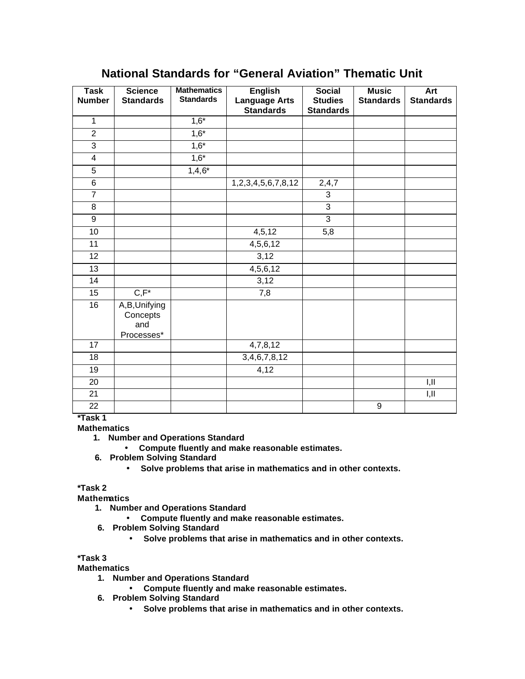# **National Standards for "General Aviation" Thematic Unit**

| <b>Task</b>             | <b>Science</b>                                | <b>Mathematics</b> | <b>English</b>             | <b>Social</b>    | <b>Music</b>     | Art              |
|-------------------------|-----------------------------------------------|--------------------|----------------------------|------------------|------------------|------------------|
| <b>Number</b>           | <b>Standards</b>                              | <b>Standards</b>   | <b>Language Arts</b>       | <b>Studies</b>   | <b>Standards</b> | <b>Standards</b> |
|                         |                                               |                    | <b>Standards</b>           | <b>Standards</b> |                  |                  |
| $\mathbf{1}$            |                                               | $1,6*$             |                            |                  |                  |                  |
| $\overline{2}$          |                                               | $1,6*$             |                            |                  |                  |                  |
| $\overline{3}$          |                                               | $1,6*$             |                            |                  |                  |                  |
| $\overline{\mathbf{4}}$ |                                               | $1,6*$             |                            |                  |                  |                  |
| 5                       |                                               | $1,4,6*$           |                            |                  |                  |                  |
| 6                       |                                               |                    | 1, 2, 3, 4, 5, 6, 7, 8, 12 | 2,4,7            |                  |                  |
| $\overline{7}$          |                                               |                    |                            | $\overline{3}$   |                  |                  |
| 8                       |                                               |                    |                            | 3                |                  |                  |
| $\overline{9}$          |                                               |                    |                            | $\overline{3}$   |                  |                  |
| 10                      |                                               |                    | 4, 5, 12                   | 5,8              |                  |                  |
| 11                      |                                               |                    | 4,5,6,12                   |                  |                  |                  |
| 12                      |                                               |                    | 3,12                       |                  |                  |                  |
| 13                      |                                               |                    | 4,5,6,12                   |                  |                  |                  |
| 14                      |                                               |                    | 3,12                       |                  |                  |                  |
| 15                      | $C, F^*$                                      |                    | 7,8                        |                  |                  |                  |
| 16                      | A,B,Unifying<br>Concepts<br>and<br>Processes* |                    |                            |                  |                  |                  |
| 17                      |                                               |                    | 4,7,8,12                   |                  |                  |                  |
| 18                      |                                               |                    | 3,4,6,7,8,12               |                  |                  |                  |
| 19                      |                                               |                    | 4,12                       |                  |                  |                  |
| 20                      |                                               |                    |                            |                  |                  | I, II            |
| 21                      |                                               |                    |                            |                  |                  | I,II             |
| 22                      |                                               |                    |                            |                  | 9                |                  |

**\*Task 1**

**Mathematics**

- **1. Number and Operations Standard**
	- **Compute fluently and make reasonable estimates.**
- **6. Problem Solving Standard**
	- **Solve problems that arise in mathematics and in other contexts.**

**\*Task 2**

**Mathematics**

- **1. Number and Operations Standard**
	- **Compute fluently and make reasonable estimates.**
- **6. Problem Solving Standard**
	- **Solve problems that arise in mathematics and in other contexts.**

**\*Task 3**

**Mathematics**

- **1. Number and Operations Standard**
	- **Compute fluently and make reasonable estimates.**
- **6. Problem Solving Standard**
	- **Solve problems that arise in mathematics and in other contexts.**